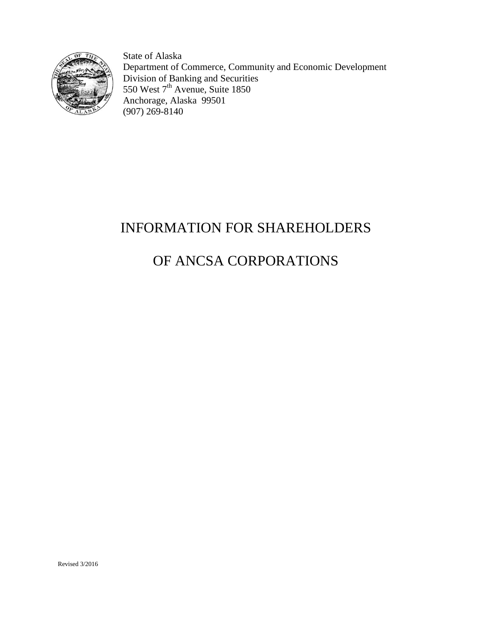

State of Alaska Department of Commerce, Community and Economic Development Division of Banking and Securities 550 West 7<sup>th</sup> Avenue, Suite 1850 Anchorage, Alaska 99501 (907) 269-8140

# INFORMATION FOR SHAREHOLDERS

# OF ANCSA CORPORATIONS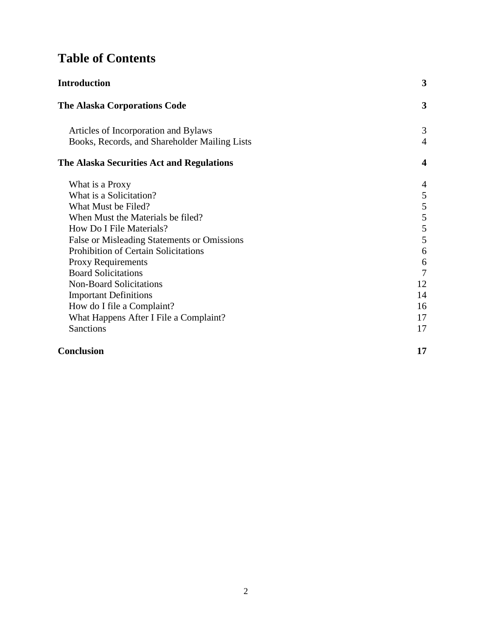## **Table of Contents**

| Introduction                                  | 3                       |
|-----------------------------------------------|-------------------------|
| <b>The Alaska Corporations Code</b>           | 3                       |
| Articles of Incorporation and Bylaws          | 3                       |
| Books, Records, and Shareholder Mailing Lists | $\overline{4}$          |
| The Alaska Securities Act and Regulations     | $\overline{\mathbf{4}}$ |
| What is a Proxy                               | $\overline{4}$          |
| What is a Solicitation?                       | 5                       |
| What Must be Filed?                           | 5                       |
| When Must the Materials be filed?             | 5                       |
| How Do I File Materials?                      | $\mathfrak s$           |
| False or Misleading Statements or Omissions   | 5                       |
| <b>Prohibition of Certain Solicitations</b>   | 6                       |
| Proxy Requirements                            | 6                       |
| <b>Board Solicitations</b>                    | 7                       |
| <b>Non-Board Solicitations</b>                | 12                      |
| <b>Important Definitions</b>                  | 14                      |
| How do I file a Complaint?                    | 16                      |
| What Happens After I File a Complaint?        | 17                      |
| Sanctions                                     | 17                      |

## **Conclusion 17**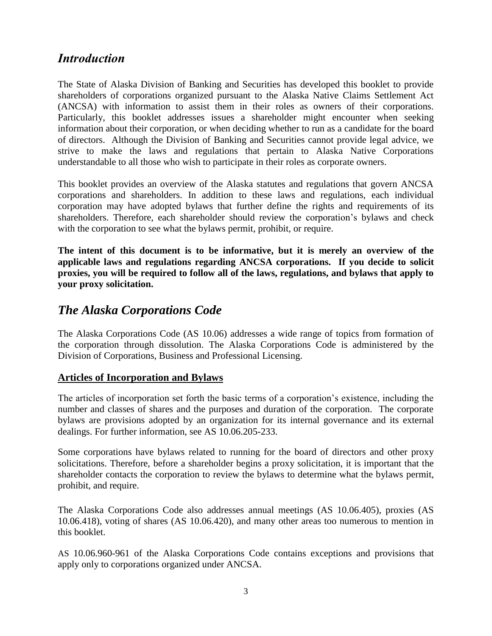## *Introduction*

The State of Alaska Division of Banking and Securities has developed this booklet to provide shareholders of corporations organized pursuant to the Alaska Native Claims Settlement Act (ANCSA) with information to assist them in their roles as owners of their corporations. Particularly, this booklet addresses issues a shareholder might encounter when seeking information about their corporation, or when deciding whether to run as a candidate for the board of directors. Although the Division of Banking and Securities cannot provide legal advice, we strive to make the laws and regulations that pertain to Alaska Native Corporations understandable to all those who wish to participate in their roles as corporate owners.

This booklet provides an overview of the Alaska statutes and regulations that govern ANCSA corporations and shareholders. In addition to these laws and regulations, each individual corporation may have adopted bylaws that further define the rights and requirements of its shareholders. Therefore, each shareholder should review the corporation's bylaws and check with the corporation to see what the bylaws permit, prohibit, or require.

**The intent of this document is to be informative, but it is merely an overview of the applicable laws and regulations regarding ANCSA corporations. If you decide to solicit proxies, you will be required to follow all of the laws, regulations, and bylaws that apply to your proxy solicitation.** 

## <span id="page-2-0"></span>*The Alaska Corporations Code*

The Alaska Corporations Code (AS 10.06) addresses a wide range of topics from formation of the corporation through dissolution. The Alaska Corporations Code is administered by the Division of Corporations, Business and Professional Licensing.

#### <span id="page-2-1"></span>**Articles of Incorporation and Bylaws**

The articles of incorporation set forth the basic terms of a corporation's existence, including the number and classes of shares and the purposes and duration of the corporation. The corporate bylaws are provisions adopted by an organization for its internal governance and its external dealings. For further information, see AS 10.06.205-233.

Some corporations have bylaws related to running for the board of directors and other proxy solicitations. Therefore, before a shareholder begins a proxy solicitation, it is important that the shareholder contacts the corporation to review the bylaws to determine what the bylaws permit, prohibit, and require.

The Alaska Corporations Code also addresses annual meetings (AS 10.06.405), proxies (AS 10.06.418), voting of shares (AS 10.06.420), and many other areas too numerous to mention in this booklet.

AS 10.06.960-961 of the Alaska Corporations Code contains exceptions and provisions that apply only to corporations organized under ANCSA.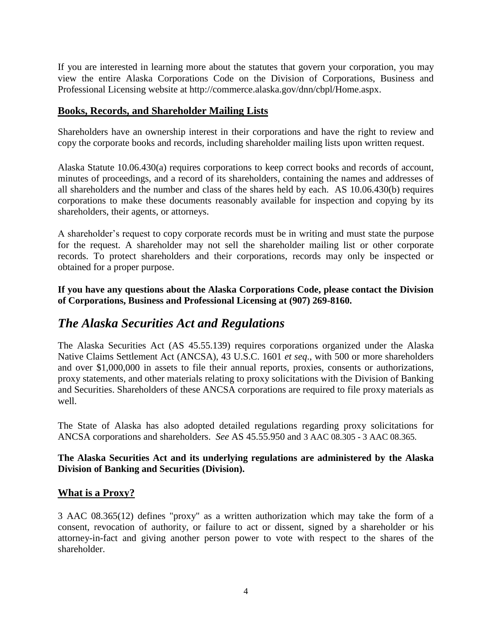If you are interested in learning more about the statutes that govern your corporation, you may view the entire Alaska Corporations Code on the Division of Corporations, Business and Professional Licensing website at http://commerce.alaska.gov/dnn/cbpl/Home.aspx.

#### <span id="page-3-0"></span>**Books, Records, and Shareholder Mailing Lists**

Shareholders have an ownership interest in their corporations and have the right to review and copy the corporate books and records, including shareholder mailing lists upon written request.

Alaska Statute 10.06.430(a) requires corporations to keep correct books and records of account, minutes of proceedings, and a record of its shareholders, containing the names and addresses of all shareholders and the number and class of the shares held by each. AS 10.06.430(b) requires corporations to make these documents reasonably available for inspection and copying by its shareholders, their agents, or attorneys.

A shareholder's request to copy corporate records must be in writing and must state the purpose for the request. A shareholder may not sell the shareholder mailing list or other corporate records. To protect shareholders and their corporations, records may only be inspected or obtained for a proper purpose.

**If you have any questions about the Alaska Corporations Code, please contact the Division of Corporations, Business and Professional Licensing at (907) 269-8160.**

## <span id="page-3-1"></span>*The Alaska Securities Act and Regulations*

The Alaska Securities Act (AS 45.55.139) requires corporations organized under the Alaska Native Claims Settlement Act (ANCSA), 43 U.S.C. 1601 *et seq*., with 500 or more shareholders and over \$1,000,000 in assets to file their annual reports, proxies, consents or authorizations, proxy statements, and other materials relating to proxy solicitations with the Division of Banking and Securities. Shareholders of these ANCSA corporations are required to file proxy materials as well.

The State of Alaska has also adopted detailed regulations regarding proxy solicitations for ANCSA corporations and shareholders. *See* AS 45.55.950 and 3 AAC 08.305 - 3 AAC 08.365.

#### <span id="page-3-2"></span>**The Alaska Securities Act and its underlying regulations are administered by the Alaska Division of Banking and Securities (Division).**

#### **What is a Proxy?**

3 AAC 08.365(12) defines "proxy" as a written authorization which may take the form of a consent, revocation of authority, or failure to act or dissent, signed by a shareholder or his attorney-in-fact and giving another person power to vote with respect to the shares of the shareholder.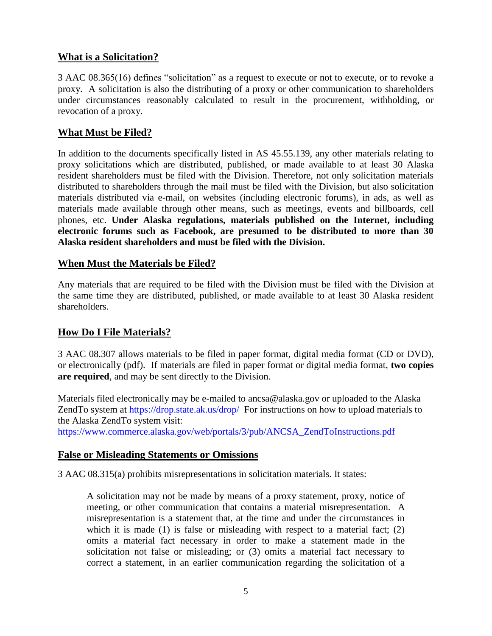#### **What is a Solicitation?**

3 AAC 08.365(16) defines "solicitation" as a request to execute or not to execute, or to revoke a proxy. A solicitation is also the distributing of a proxy or other communication to shareholders under circumstances reasonably calculated to result in the procurement, withholding, or revocation of a proxy.

#### **What Must be Filed?**

In addition to the documents specifically listed in AS 45.55.139, any other materials relating to proxy solicitations which are distributed, published, or made available to at least 30 Alaska resident shareholders must be filed with the Division. Therefore, not only solicitation materials distributed to shareholders through the mail must be filed with the Division, but also solicitation materials distributed via e-mail, on websites (including electronic forums), in ads, as well as materials made available through other means, such as meetings, events and billboards, cell phones, etc. **Under Alaska regulations, materials published on the Internet, including electronic forums such as Facebook, are presumed to be distributed to more than 30 Alaska resident shareholders and must be filed with the Division.** 

#### <span id="page-4-0"></span>**When Must the Materials be Filed?**

Any materials that are required to be filed with the Division must be filed with the Division at the same time they are distributed, published, or made available to at least 30 Alaska resident shareholders.

#### **How Do I File Materials?**

3 AAC 08.307 allows materials to be filed in paper format, digital media format (CD or DVD), or electronically (pdf). If materials are filed in paper format or digital media format, **two copies are required**, and may be sent directly to the Division.

Materials filed electronically may be e-mailed to ancsa@alaska.gov or uploaded to the Alaska ZendTo system at<https://drop.state.ak.us/drop/> For instructions on how to upload materials to the Alaska ZendTo system visit:

<span id="page-4-1"></span>[https://www.commerce.alaska.gov/web/portals/3/pub/ANCSA\\_ZendToInstructions.pdf](https://www.commerce.alaska.gov/web/portals/3/pub/ANCSA_ZendToInstructions.pdf)

#### **False or Misleading Statements or Omissions**

3 AAC 08.315(a) prohibits misrepresentations in solicitation materials. It states:

A solicitation may not be made by means of a proxy statement, proxy, notice of meeting, or other communication that contains a material misrepresentation. A misrepresentation is a statement that, at the time and under the circumstances in which it is made (1) is false or misleading with respect to a material fact; (2) omits a material fact necessary in order to make a statement made in the solicitation not false or misleading; or (3) omits a material fact necessary to correct a statement, in an earlier communication regarding the solicitation of a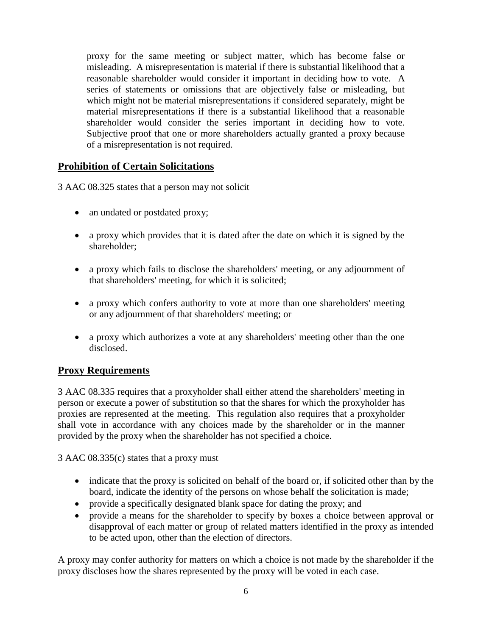proxy for the same meeting or subject matter, which has become false or misleading. A misrepresentation is material if there is substantial likelihood that a reasonable shareholder would consider it important in deciding how to vote. A series of statements or omissions that are objectively false or misleading, but which might not be material misrepresentations if considered separately, might be material misrepresentations if there is a substantial likelihood that a reasonable shareholder would consider the series important in deciding how to vote. Subjective proof that one or more shareholders actually granted a proxy because of a misrepresentation is not required.

#### <span id="page-5-0"></span>**Prohibition of Certain Solicitations**

3 AAC 08.325 states that a person may not solicit

- an undated or postdated proxy;
- a proxy which provides that it is dated after the date on which it is signed by the shareholder;
- a proxy which fails to disclose the shareholders' meeting, or any adjournment of that shareholders' meeting, for which it is solicited;
- a proxy which confers authority to vote at more than one shareholders' meeting or any adjournment of that shareholders' meeting; or
- a proxy which authorizes a vote at any shareholders' meeting other than the one disclosed.

#### **Proxy Requirements**

3 AAC 08.335 requires that a proxyholder shall either attend the shareholders' meeting in person or execute a power of substitution so that the shares for which the proxyholder has proxies are represented at the meeting. This regulation also requires that a proxyholder shall vote in accordance with any choices made by the shareholder or in the manner provided by the proxy when the shareholder has not specified a choice.

3 AAC 08.335(c) states that a proxy must

- indicate that the proxy is solicited on behalf of the board or, if solicited other than by the board, indicate the identity of the persons on whose behalf the solicitation is made;
- provide a specifically designated blank space for dating the proxy; and
- provide a means for the shareholder to specify by boxes a choice between approval or disapproval of each matter or group of related matters identified in the proxy as intended to be acted upon, other than the election of directors.

A proxy may confer authority for matters on which a choice is not made by the shareholder if the proxy discloses how the shares represented by the proxy will be voted in each case.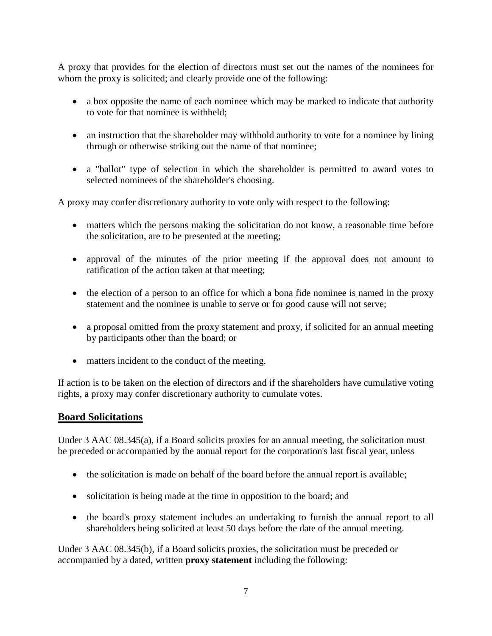A proxy that provides for the election of directors must set out the names of the nominees for whom the proxy is solicited; and clearly provide one of the following:

- a box opposite the name of each nominee which may be marked to indicate that authority to vote for that nominee is withheld;
- an instruction that the shareholder may withhold authority to vote for a nominee by lining through or otherwise striking out the name of that nominee;
- a "ballot" type of selection in which the shareholder is permitted to award votes to selected nominees of the shareholder's choosing.

A proxy may confer discretionary authority to vote only with respect to the following:

- matters which the persons making the solicitation do not know, a reasonable time before the solicitation, are to be presented at the meeting;
- approval of the minutes of the prior meeting if the approval does not amount to ratification of the action taken at that meeting;
- the election of a person to an office for which a bona fide nominee is named in the proxy statement and the nominee is unable to serve or for good cause will not serve;
- a proposal omitted from the proxy statement and proxy, if solicited for an annual meeting by participants other than the board; or
- matters incident to the conduct of the meeting.

If action is to be taken on the election of directors and if the shareholders have cumulative voting rights, a proxy may confer discretionary authority to cumulate votes.

#### **Board Solicitations**

Under 3 AAC 08.345(a), if a Board solicits proxies for an annual meeting, the solicitation must be preceded or accompanied by the annual report for the corporation's last fiscal year, unless

- the solicitation is made on behalf of the board before the annual report is available;
- solicitation is being made at the time in opposition to the board; and
- the board's proxy statement includes an undertaking to furnish the annual report to all shareholders being solicited at least 50 days before the date of the annual meeting.

Under 3 AAC 08.345(b), if a Board solicits proxies, the solicitation must be preceded or accompanied by a dated, written **proxy statement** including the following: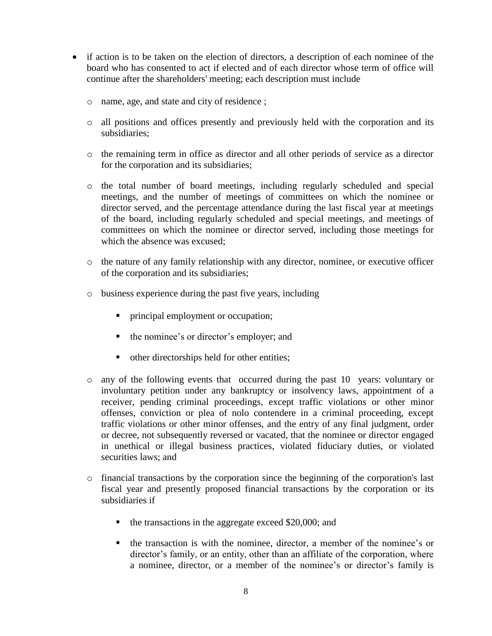- if action is to be taken on the election of directors, a description of each nominee of the board who has consented to act if elected and of each director whose term of office will continue after the shareholders' meeting; each description must include
	- o name, age, and state and city of residence ;
	- o all positions and offices presently and previously held with the corporation and its subsidiaries;
	- o the remaining term in office as director and all other periods of service as a director for the corporation and its subsidiaries;
	- o the total number of board meetings, including regularly scheduled and special meetings, and the number of meetings of committees on which the nominee or director served, and the percentage attendance during the last fiscal year at meetings of the board, including regularly scheduled and special meetings, and meetings of committees on which the nominee or director served, including those meetings for which the absence was excused;
	- o the nature of any family relationship with any director, nominee, or executive officer of the corporation and its subsidiaries;
	- o business experience during the past five years, including
		- principal employment or occupation;
		- the nominee's or director's employer; and
		- other directorships held for other entities;
	- o any of the following events that occurred during the past 10 years: voluntary or involuntary petition under any bankruptcy or insolvency laws, appointment of a receiver, pending criminal proceedings, except traffic violations or other minor offenses, conviction or plea of nolo contendere in a criminal proceeding, except traffic violations or other minor offenses, and the entry of any final judgment, order or decree, not subsequently reversed or vacated, that the nominee or director engaged in unethical or illegal business practices, violated fiduciary duties, or violated securities laws; and
	- o financial transactions by the corporation since the beginning of the corporation's last fiscal year and presently proposed financial transactions by the corporation or its subsidiaries if
		- $\blacksquare$  the transactions in the aggregate exceed \$20,000; and
		- the transaction is with the nominee, director, a member of the nominee's or director's family, or an entity, other than an affiliate of the corporation, where a nominee, director, or a member of the nominee's or director's family is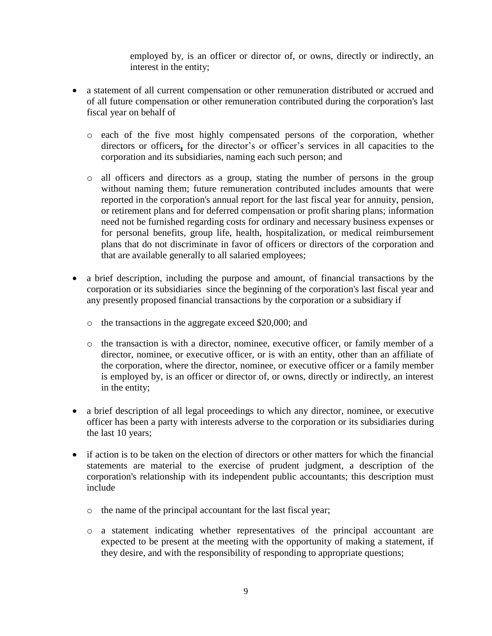employed by, is an officer or director of, or owns, directly or indirectly, an interest in the entity;

- a statement of all current compensation or other remuneration distributed or accrued and of all future compensation or other remuneration contributed during the corporation's last fiscal year on behalf of
	- o each of the five most highly compensated persons of the corporation, whether directors or officers**,** for the director's or officer's services in all capacities to the corporation and its subsidiaries, naming each such person; and
	- o all officers and directors as a group, stating the number of persons in the group without naming them; future remuneration contributed includes amounts that were reported in the corporation's annual report for the last fiscal year for annuity, pension, or retirement plans and for deferred compensation or profit sharing plans; information need not be furnished regarding costs for ordinary and necessary business expenses or for personal benefits, group life, health, hospitalization, or medical reimbursement plans that do not discriminate in favor of officers or directors of the corporation and that are available generally to all salaried employees;
- a brief description, including the purpose and amount, of financial transactions by the corporation or its subsidiaries since the beginning of the corporation's last fiscal year and any presently proposed financial transactions by the corporation or a subsidiary if
	- o the transactions in the aggregate exceed \$20,000; and
	- o the transaction is with a director, nominee, executive officer, or family member of a director, nominee, or executive officer, or is with an entity, other than an affiliate of the corporation, where the director, nominee, or executive officer or a family member is employed by, is an officer or director of, or owns, directly or indirectly, an interest in the entity;
- a brief description of all legal proceedings to which any director, nominee, or executive officer has been a party with interests adverse to the corporation or its subsidiaries during the last 10 years;
- if action is to be taken on the election of directors or other matters for which the financial statements are material to the exercise of prudent judgment, a description of the corporation's relationship with its independent public accountants; this description must include
	- o the name of the principal accountant for the last fiscal year;
	- o a statement indicating whether representatives of the principal accountant are expected to be present at the meeting with the opportunity of making a statement, if they desire, and with the responsibility of responding to appropriate questions;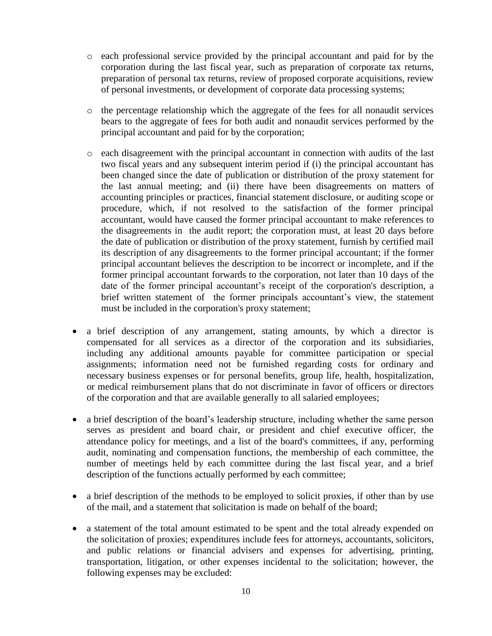- o each professional service provided by the principal accountant and paid for by the corporation during the last fiscal year, such as preparation of corporate tax returns, preparation of personal tax returns, review of proposed corporate acquisitions, review of personal investments, or development of corporate data processing systems;
- o the percentage relationship which the aggregate of the fees for all nonaudit services bears to the aggregate of fees for both audit and nonaudit services performed by the principal accountant and paid for by the corporation;
- o each disagreement with the principal accountant in connection with audits of the last two fiscal years and any subsequent interim period if (i) the principal accountant has been changed since the date of publication or distribution of the proxy statement for the last annual meeting; and (ii) there have been disagreements on matters of accounting principles or practices, financial statement disclosure, or auditing scope or procedure, which, if not resolved to the satisfaction of the former principal accountant, would have caused the former principal accountant to make references to the disagreements in the audit report; the corporation must, at least 20 days before the date of publication or distribution of the proxy statement, furnish by certified mail its description of any disagreements to the former principal accountant; if the former principal accountant believes the description to be incorrect or incomplete, and if the former principal accountant forwards to the corporation, not later than 10 days of the date of the former principal accountant's receipt of the corporation's description, a brief written statement of the former principals accountant's view, the statement must be included in the corporation's proxy statement;
- a brief description of any arrangement, stating amounts, by which a director is compensated for all services as a director of the corporation and its subsidiaries, including any additional amounts payable for committee participation or special assignments; information need not be furnished regarding costs for ordinary and necessary business expenses or for personal benefits, group life, health, hospitalization, or medical reimbursement plans that do not discriminate in favor of officers or directors of the corporation and that are available generally to all salaried employees;
- a brief description of the board's leadership structure, including whether the same person serves as president and board chair, or president and chief executive officer, the attendance policy for meetings, and a list of the board's committees, if any, performing audit, nominating and compensation functions, the membership of each committee, the number of meetings held by each committee during the last fiscal year, and a brief description of the functions actually performed by each committee;
- a brief description of the methods to be employed to solicit proxies, if other than by use of the mail, and a statement that solicitation is made on behalf of the board;
- a statement of the total amount estimated to be spent and the total already expended on the solicitation of proxies; expenditures include fees for attorneys, accountants, solicitors, and public relations or financial advisers and expenses for advertising, printing, transportation, litigation, or other expenses incidental to the solicitation; however, the following expenses may be excluded: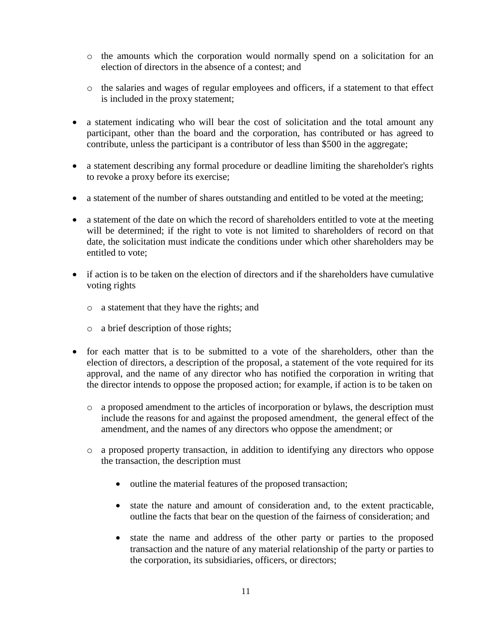- o the amounts which the corporation would normally spend on a solicitation for an election of directors in the absence of a contest; and
- o the salaries and wages of regular employees and officers, if a statement to that effect is included in the proxy statement;
- a statement indicating who will bear the cost of solicitation and the total amount any participant, other than the board and the corporation, has contributed or has agreed to contribute, unless the participant is a contributor of less than \$500 in the aggregate;
- a statement describing any formal procedure or deadline limiting the shareholder's rights to revoke a proxy before its exercise;
- a statement of the number of shares outstanding and entitled to be voted at the meeting;
- a statement of the date on which the record of shareholders entitled to vote at the meeting will be determined; if the right to vote is not limited to shareholders of record on that date, the solicitation must indicate the conditions under which other shareholders may be entitled to vote;
- if action is to be taken on the election of directors and if the shareholders have cumulative voting rights
	- o a statement that they have the rights; and
	- o a brief description of those rights;
- for each matter that is to be submitted to a vote of the shareholders, other than the election of directors, a description of the proposal, a statement of the vote required for its approval, and the name of any director who has notified the corporation in writing that the director intends to oppose the proposed action; for example, if action is to be taken on
	- o a proposed amendment to the articles of incorporation or bylaws, the description must include the reasons for and against the proposed amendment, the general effect of the amendment, and the names of any directors who oppose the amendment; or
	- o a proposed property transaction, in addition to identifying any directors who oppose the transaction, the description must
		- outline the material features of the proposed transaction;
		- state the nature and amount of consideration and, to the extent practicable, outline the facts that bear on the question of the fairness of consideration; and
		- state the name and address of the other party or parties to the proposed transaction and the nature of any material relationship of the party or parties to the corporation, its subsidiaries, officers, or directors;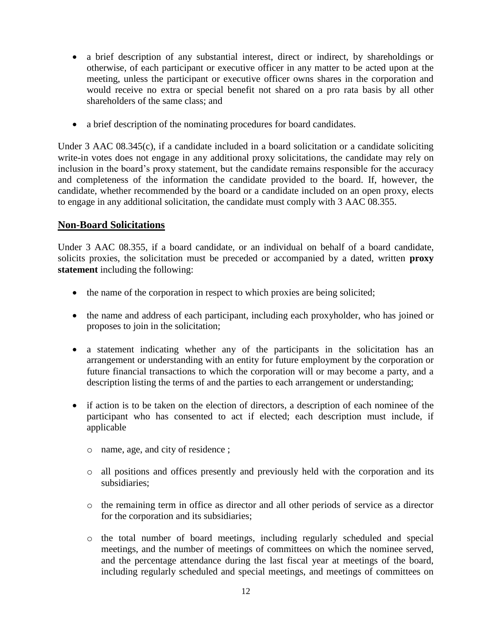- a brief description of any substantial interest, direct or indirect, by shareholdings or otherwise, of each participant or executive officer in any matter to be acted upon at the meeting, unless the participant or executive officer owns shares in the corporation and would receive no extra or special benefit not shared on a pro rata basis by all other shareholders of the same class; and
- a brief description of the nominating procedures for board candidates.

Under 3 AAC 08.345(c), if a candidate included in a board solicitation or a candidate soliciting write-in votes does not engage in any additional proxy solicitations, the candidate may rely on inclusion in the board's proxy statement, but the candidate remains responsible for the accuracy and completeness of the information the candidate provided to the board. If, however, the candidate, whether recommended by the board or a candidate included on an open proxy, elects to engage in any additional solicitation, the candidate must comply with 3 AAC 08.355.

#### **Non-Board Solicitations**

Under 3 AAC 08.355, if a board candidate, or an individual on behalf of a board candidate, solicits proxies, the solicitation must be preceded or accompanied by a dated, written **proxy statement** including the following:

- the name of the corporation in respect to which proxies are being solicited;
- the name and address of each participant, including each proxyholder, who has joined or proposes to join in the solicitation;
- a statement indicating whether any of the participants in the solicitation has an arrangement or understanding with an entity for future employment by the corporation or future financial transactions to which the corporation will or may become a party, and a description listing the terms of and the parties to each arrangement or understanding;
- if action is to be taken on the election of directors, a description of each nominee of the participant who has consented to act if elected; each description must include, if applicable
	- o name, age, and city of residence ;
	- o all positions and offices presently and previously held with the corporation and its subsidiaries;
	- o the remaining term in office as director and all other periods of service as a director for the corporation and its subsidiaries;
	- o the total number of board meetings, including regularly scheduled and special meetings, and the number of meetings of committees on which the nominee served, and the percentage attendance during the last fiscal year at meetings of the board, including regularly scheduled and special meetings, and meetings of committees on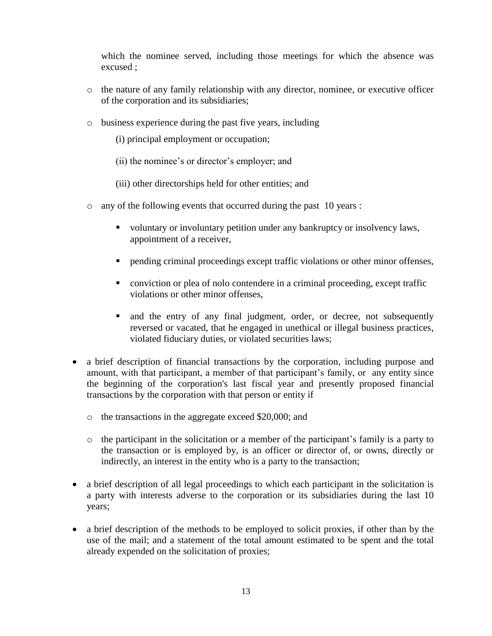which the nominee served, including those meetings for which the absence was excused ;

- o the nature of any family relationship with any director, nominee, or executive officer of the corporation and its subsidiaries;
- o business experience during the past five years, including
	- (i) principal employment or occupation;
	- (ii) the nominee's or director's employer; and
	- (iii) other directorships held for other entities; and
- o any of the following events that occurred during the past 10 years :
	- voluntary or involuntary petition under any bankruptcy or insolvency laws, appointment of a receiver,
	- pending criminal proceedings except traffic violations or other minor offenses,
	- conviction or plea of nolo contendere in a criminal proceeding, except traffic violations or other minor offenses,
	- and the entry of any final judgment, order, or decree, not subsequently reversed or vacated, that he engaged in unethical or illegal business practices, violated fiduciary duties, or violated securities laws;
- a brief description of financial transactions by the corporation, including purpose and amount, with that participant, a member of that participant's family, or any entity since the beginning of the corporation's last fiscal year and presently proposed financial transactions by the corporation with that person or entity if
	- o the transactions in the aggregate exceed \$20,000; and
	- o the participant in the solicitation or a member of the participant's family is a party to the transaction or is employed by, is an officer or director of, or owns, directly or indirectly, an interest in the entity who is a party to the transaction;
- a brief description of all legal proceedings to which each participant in the solicitation is a party with interests adverse to the corporation or its subsidiaries during the last 10 years;
- a brief description of the methods to be employed to solicit proxies, if other than by the use of the mail; and a statement of the total amount estimated to be spent and the total already expended on the solicitation of proxies;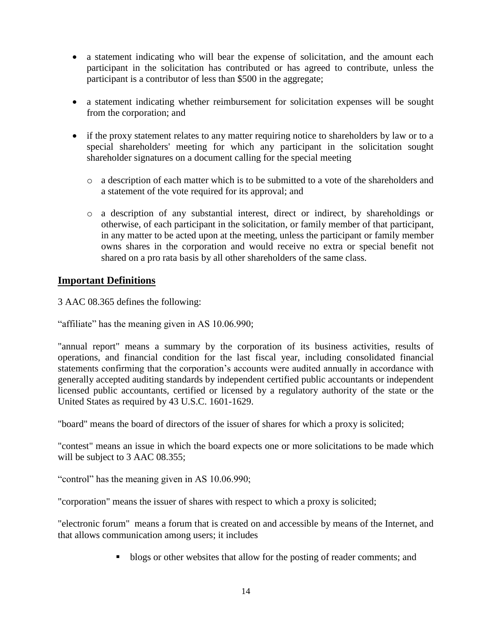- a statement indicating who will bear the expense of solicitation, and the amount each participant in the solicitation has contributed or has agreed to contribute, unless the participant is a contributor of less than \$500 in the aggregate;
- a statement indicating whether reimbursement for solicitation expenses will be sought from the corporation; and
- if the proxy statement relates to any matter requiring notice to shareholders by law or to a special shareholders' meeting for which any participant in the solicitation sought shareholder signatures on a document calling for the special meeting
	- o a description of each matter which is to be submitted to a vote of the shareholders and a statement of the vote required for its approval; and
	- o a description of any substantial interest, direct or indirect, by shareholdings or otherwise, of each participant in the solicitation, or family member of that participant, in any matter to be acted upon at the meeting, unless the participant or family member owns shares in the corporation and would receive no extra or special benefit not shared on a pro rata basis by all other shareholders of the same class.

#### **Important Definitions**

3 AAC 08.365 defines the following:

"affiliate" has the meaning given in AS 10.06.990;

"annual report" means a summary by the corporation of its business activities, results of operations, and financial condition for the last fiscal year, including consolidated financial statements confirming that the corporation's accounts were audited annually in accordance with generally accepted auditing standards by independent certified public accountants or independent licensed public accountants, certified or licensed by a regulatory authority of the state or the United States as required by 43 U.S.C. 1601-1629.

"board" means the board of directors of the issuer of shares for which a proxy is solicited;

"contest" means an issue in which the board expects one or more solicitations to be made which will be subject to 3 AAC 08.355;

"control" has the meaning given in AS 10.06.990;

"corporation" means the issuer of shares with respect to which a proxy is solicited;

"electronic forum" means a forum that is created on and accessible by means of the Internet, and that allows communication among users; it includes

I blogs or other websites that allow for the posting of reader comments; and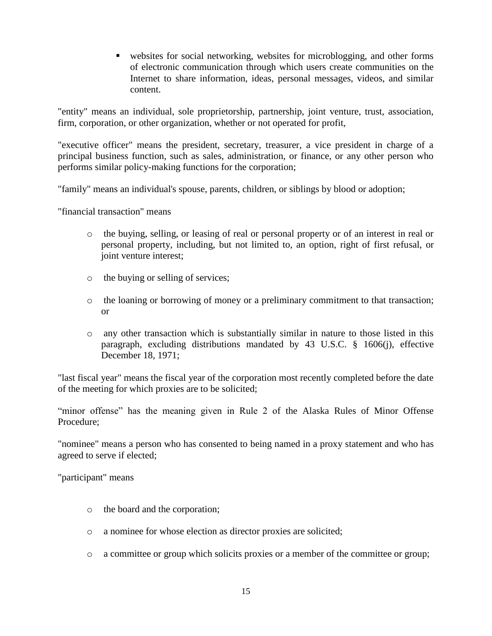websites for social networking, websites for microblogging, and other forms of electronic communication through which users create communities on the Internet to share information, ideas, personal messages, videos, and similar content.

"entity" means an individual, sole proprietorship, partnership, joint venture, trust, association, firm, corporation, or other organization, whether or not operated for profit,

"executive officer" means the president, secretary, treasurer, a vice president in charge of a principal business function, such as sales, administration, or finance, or any other person who performs similar policy-making functions for the corporation;

"family" means an individual's spouse, parents, children, or siblings by blood or adoption;

"financial transaction" means

- o the buying, selling, or leasing of real or personal property or of an interest in real or personal property, including, but not limited to, an option, right of first refusal, or joint venture interest;
- o the buying or selling of services;
- o the loaning or borrowing of money or a preliminary commitment to that transaction; or
- o any other transaction which is substantially similar in nature to those listed in this paragraph, excluding distributions mandated by 43 U.S.C. § 1606(j), effective December 18, 1971;

"last fiscal year" means the fiscal year of the corporation most recently completed before the date of the meeting for which proxies are to be solicited;

"minor offense" has the meaning given in Rule 2 of the Alaska Rules of Minor Offense Procedure;

"nominee" means a person who has consented to being named in a proxy statement and who has agreed to serve if elected;

"participant" means

- o the board and the corporation;
- o a nominee for whose election as director proxies are solicited;
- o a committee or group which solicits proxies or a member of the committee or group;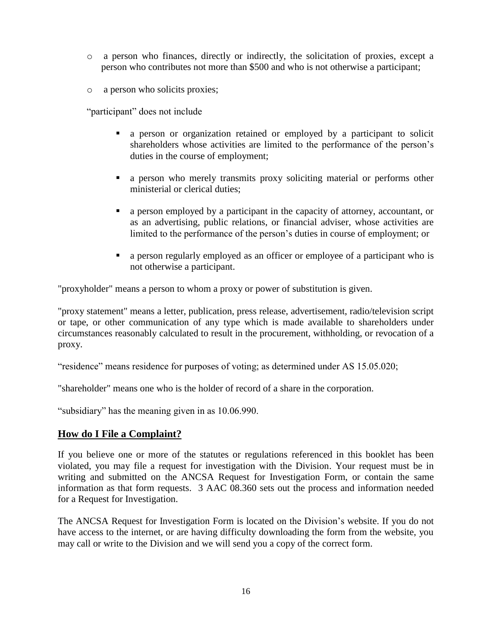- o a person who finances, directly or indirectly, the solicitation of proxies, except a person who contributes not more than \$500 and who is not otherwise a participant;
- o a person who solicits proxies;

"participant" does not include

- a person or organization retained or employed by a participant to solicit shareholders whose activities are limited to the performance of the person's duties in the course of employment;
- a person who merely transmits proxy soliciting material or performs other ministerial or clerical duties;
- a person employed by a participant in the capacity of attorney, accountant, or as an advertising, public relations, or financial adviser, whose activities are limited to the performance of the person's duties in course of employment; or
- a person regularly employed as an officer or employee of a participant who is not otherwise a participant.

"proxyholder" means a person to whom a proxy or power of substitution is given.

"proxy statement" means a letter, publication, press release, advertisement, radio/television script or tape, or other communication of any type which is made available to shareholders under circumstances reasonably calculated to result in the procurement, withholding, or revocation of a proxy.

"residence" means residence for purposes of voting; as determined under AS 15.05.020;

"shareholder" means one who is the holder of record of a share in the corporation.

"subsidiary" has the meaning given in as 10.06.990.

#### **How do I File a Complaint?**

If you believe one or more of the statutes or regulations referenced in this booklet has been violated, you may file a request for investigation with the Division. Your request must be in writing and submitted on the ANCSA Request for Investigation Form, or contain the same information as that form requests. 3 AAC 08.360 sets out the process and information needed for a Request for Investigation.

The ANCSA Request for Investigation Form is located on the Division's website. If you do not have access to the internet, or are having difficulty downloading the form from the website, you may call or write to the Division and we will send you a copy of the correct form.